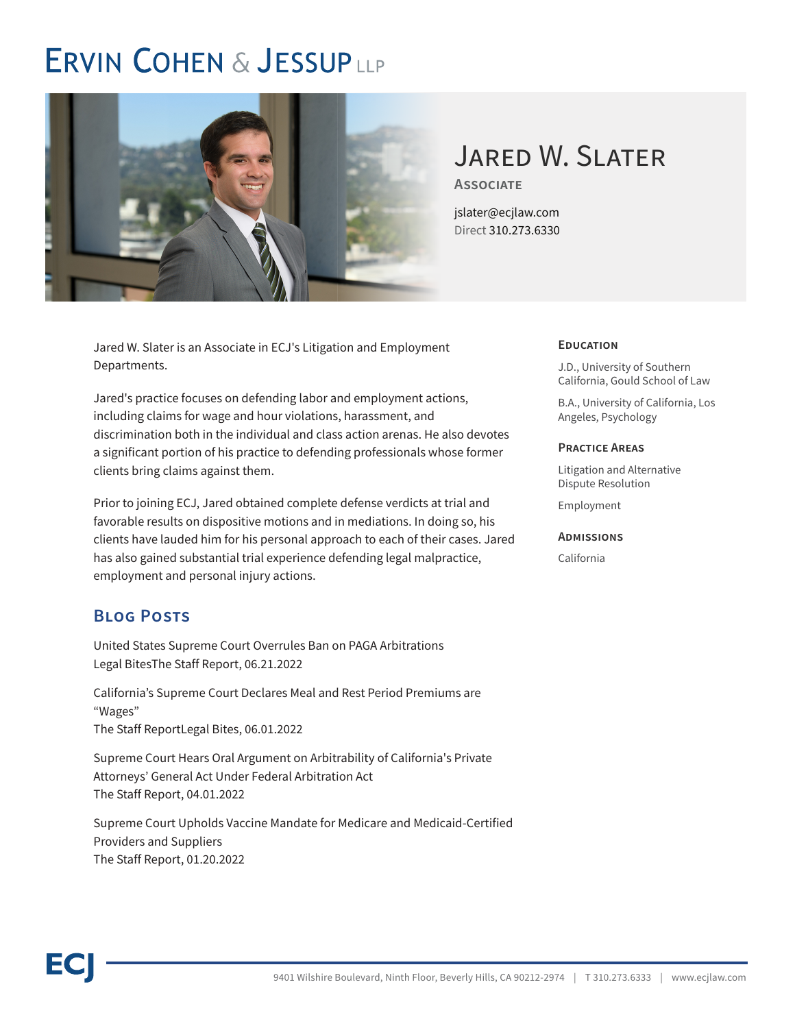# **ERVIN COHEN & JESSUPLLP**



## Jared W. Slater

**Associate**

jslater@ecjlaw.com Direct 310.273.6330

Jared W. Slater is an Associate in ECJ's Litigation and Employment Departments.

Jared's practice focuses on defending labor and employment actions, including claims for wage and hour violations, harassment, and discrimination both in the individual and class action arenas. He also devotes a significant portion of his practice to defending professionals whose former clients bring claims against them.

Prior to joining ECJ, Jared obtained complete defense verdicts at trial and favorable results on dispositive motions and in mediations. In doing so, his clients have lauded him for his personal approach to each of their cases. Jared has also gained substantial trial experience defending legal malpractice, employment and personal injury actions.

## **Blog Posts**

United States Supreme Court Overrules Ban on PAGA Arbitrations Legal BitesThe Staff Report, 06.21.2022

California's Supreme Court Declares Meal and Rest Period Premiums are "Wages" The Staff ReportLegal Bites, 06.01.2022

Supreme Court Hears Oral Argument on Arbitrability of California's Private Attorneys' General Act Under Federal Arbitration Act The Staff Report, 04.01.2022

Supreme Court Upholds Vaccine Mandate for Medicare and Medicaid-Certified Providers and Suppliers The Staff Report, 01.20.2022

#### **Education**

J.D., University of Southern California, Gould School of Law

B.A., University of California, Los Angeles, Psychology

#### **Practice Areas**

Litigation and Alternative Dispute Resolution

Employment

#### **Admissions**

California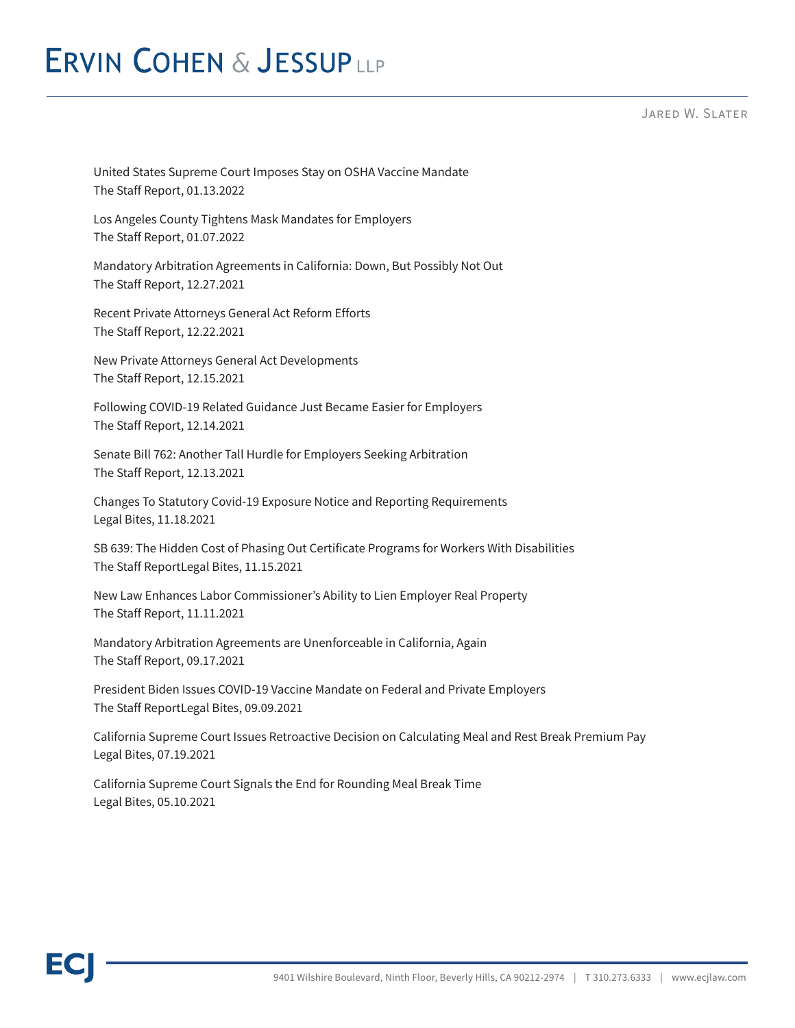# **ERVIN COHEN & JESSUPLLP**

Jared W. Slater

United States Supreme Court Imposes Stay on OSHA Vaccine Mandate The Staff Report, 01.13.2022

Los Angeles County Tightens Mask Mandates for Employers The Staff Report, 01.07.2022

Mandatory Arbitration Agreements in California: Down, But Possibly Not Out The Staff Report, 12.27.2021

Recent Private Attorneys General Act Reform Efforts The Staff Report, 12.22.2021

New Private Attorneys General Act Developments The Staff Report, 12.15.2021

Following COVID-19 Related Guidance Just Became Easier for Employers The Staff Report, 12.14.2021

Senate Bill 762: Another Tall Hurdle for Employers Seeking Arbitration The Staff Report, 12.13.2021

Changes To Statutory Covid-19 Exposure Notice and Reporting Requirements Legal Bites, 11.18.2021

SB 639: The Hidden Cost of Phasing Out Certificate Programs for Workers With Disabilities The Staff ReportLegal Bites, 11.15.2021

New Law Enhances Labor Commissioner's Ability to Lien Employer Real Property The Staff Report, 11.11.2021

Mandatory Arbitration Agreements are Unenforceable in California, Again The Staff Report, 09.17.2021

President Biden Issues COVID-19 Vaccine Mandate on Federal and Private Employers The Staff ReportLegal Bites, 09.09.2021

California Supreme Court Issues Retroactive Decision on Calculating Meal and Rest Break Premium Pay Legal Bites, 07.19.2021

California Supreme Court Signals the End for Rounding Meal Break Time Legal Bites, 05.10.2021